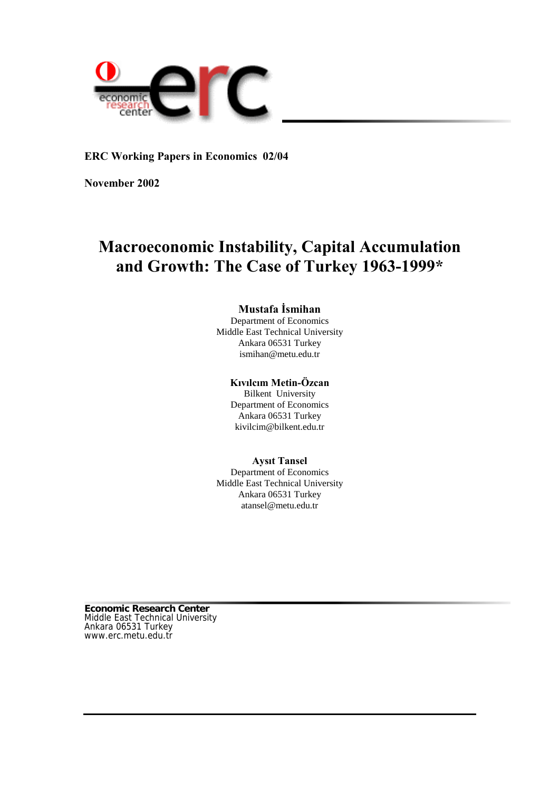

**ERC Working Papers in Economics 02/04**

**November 2002**

# **Macroeconomic Instability, Capital Accumulation and Growth: The Case of Turkey 1963-1999\***

## **Mustafa İsmihan**

Department of Economics Middle East Technical University Ankara 06531 Turkey ismihan@metu.edu.tr

## **Kıvılcım Metin-Özcan**

Bilkent University Department of Economics Ankara 06531 Turkey kivilcim@bilkent.edu.tr

## **Aysıt Tansel**

Department of Economics Middle East Technical University Ankara 06531 Turkey atansel@metu.edu.tr

**Economic Research Center** Middle East Technical University Ankara 06531 Turkey www.erc.metu.edu.tr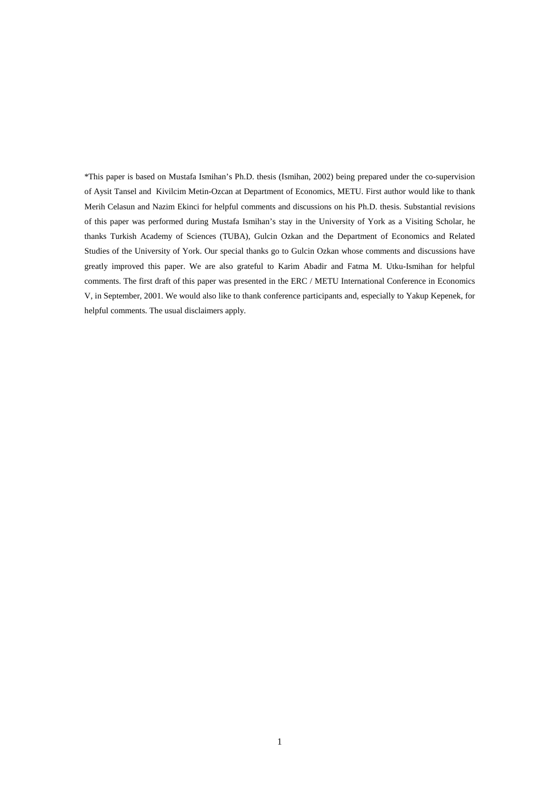\*This paper is based on Mustafa Ismihan's Ph.D. thesis (Ismihan, 2002) being prepared under the co-supervision of Aysit Tansel and Kivilcim Metin-Ozcan at Department of Economics, METU. First author would like to thank Merih Celasun and Nazim Ekinci for helpful comments and discussions on his Ph.D. thesis. Substantial revisions of this paper was performed during Mustafa Ismihan's stay in the University of York as a Visiting Scholar, he thanks Turkish Academy of Sciences (TUBA), Gulcin Ozkan and the Department of Economics and Related Studies of the University of York. Our special thanks go to Gulcin Ozkan whose comments and discussions have greatly improved this paper. We are also grateful to Karim Abadir and Fatma M. Utku-Ismihan for helpful comments. The first draft of this paper was presented in the ERC / METU International Conference in Economics V, in September, 2001. We would also like to thank conference participants and, especially to Yakup Kepenek, for helpful comments. The usual disclaimers apply.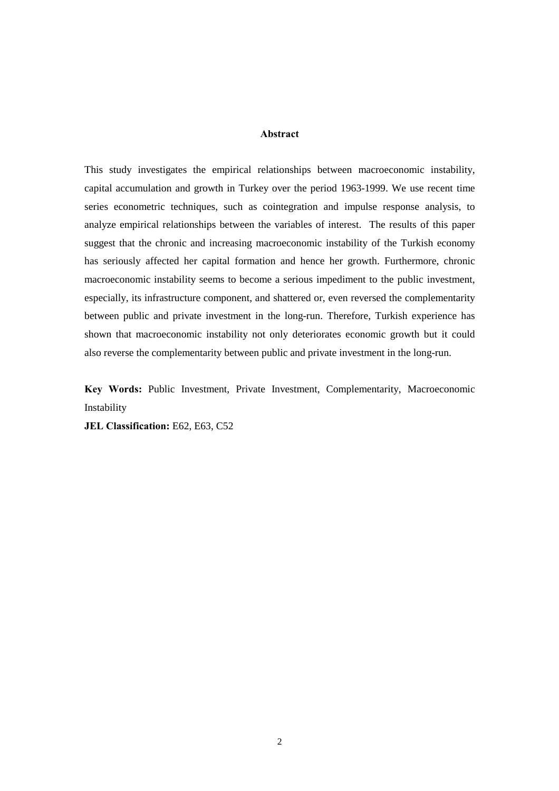#### **Abstract**

This study investigates the empirical relationships between macroeconomic instability, capital accumulation and growth in Turkey over the period 1963-1999. We use recent time series econometric techniques, such as cointegration and impulse response analysis, to analyze empirical relationships between the variables of interest. The results of this paper suggest that the chronic and increasing macroeconomic instability of the Turkish economy has seriously affected her capital formation and hence her growth. Furthermore, chronic macroeconomic instability seems to become a serious impediment to the public investment, especially, its infrastructure component, and shattered or, even reversed the complementarity between public and private investment in the long-run. Therefore, Turkish experience has shown that macroeconomic instability not only deteriorates economic growth but it could also reverse the complementarity between public and private investment in the long-run.

**Key Words:** Public Investment, Private Investment, Complementarity, Macroeconomic Instability

**JEL Classification:** E62, E63, C52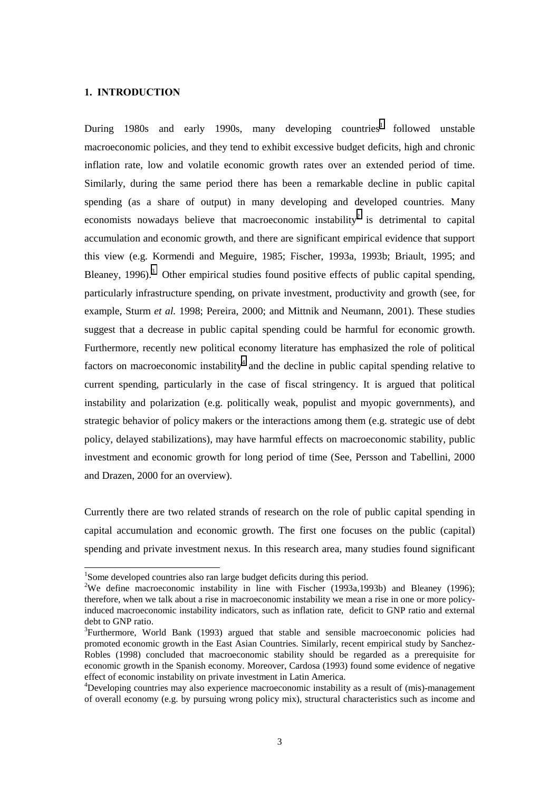#### **1. INTRODUCTION**

l

During 1980s and early 1990s, many developing countries<sup>1</sup> followed unstable macroeconomic policies, and they tend to exhibit excessive budget deficits, high and chronic inflation rate, low and volatile economic growth rates over an extended period of time. Similarly, during the same period there has been a remarkable decline in public capital spending (as a share of output) in many developing and developed countries. Many economists nowadays believe that macroeconomic instability<sup>2</sup> is detrimental to capital accumulation and economic growth, and there are significant empirical evidence that support this view (e.g. Kormendi and Meguire, 1985; Fischer, 1993a, 1993b; Briault, 1995; and Bleaney, 1996).<sup>3</sup> Other empirical studies found positive effects of public capital spending, particularly infrastructure spending, on private investment, productivity and growth (see, for example, Sturm *et al.* 1998; Pereira, 2000; and Mittnik and Neumann, 2001). These studies suggest that a decrease in public capital spending could be harmful for economic growth. Furthermore, recently new political economy literature has emphasized the role of political factors on macroeconomic instability<sup>4</sup> and the decline in public capital spending relative to current spending, particularly in the case of fiscal stringency. It is argued that political instability and polarization (e.g. politically weak, populist and myopic governments), and strategic behavior of policy makers or the interactions among them (e.g. strategic use of debt policy, delayed stabilizations), may have harmful effects on macroeconomic stability, public investment and economic growth for long period of time (See, Persson and Tabellini, 2000 and Drazen, 2000 for an overview).

Currently there are two related strands of research on the role of public capital spending in capital accumulation and economic growth. The first one focuses on the public (capital) spending and private investment nexus. In this research area, many studies found significant

<sup>&</sup>lt;sup>1</sup>Some developed countries also ran large budget deficits during this period.

<sup>&</sup>lt;sup>2</sup>We define macroeconomic instability in line with Fischer (1993a,1993b) and Bleaney (1996); therefore, when we talk about a rise in macroeconomic instability we mean a rise in one or more policyinduced macroeconomic instability indicators, such as inflation rate, deficit to GNP ratio and external debt to GNP ratio.

<sup>&</sup>lt;sup>3</sup>Furthermore, World Bank (1993) argued that stable and sensible macroeconomic policies had promoted economic growth in the East Asian Countries. Similarly, recent empirical study by Sanchez-Robles (1998) concluded that macroeconomic stability should be regarded as a prerequisite for economic growth in the Spanish economy. Moreover, Cardosa (1993) found some evidence of negative effect of economic instability on private investment in Latin America.

<sup>&</sup>lt;sup>4</sup>Developing countries may also experience macroeconomic instability as a result of (mis)-management of overall economy (e.g. by pursuing wrong policy mix), structural characteristics such as income and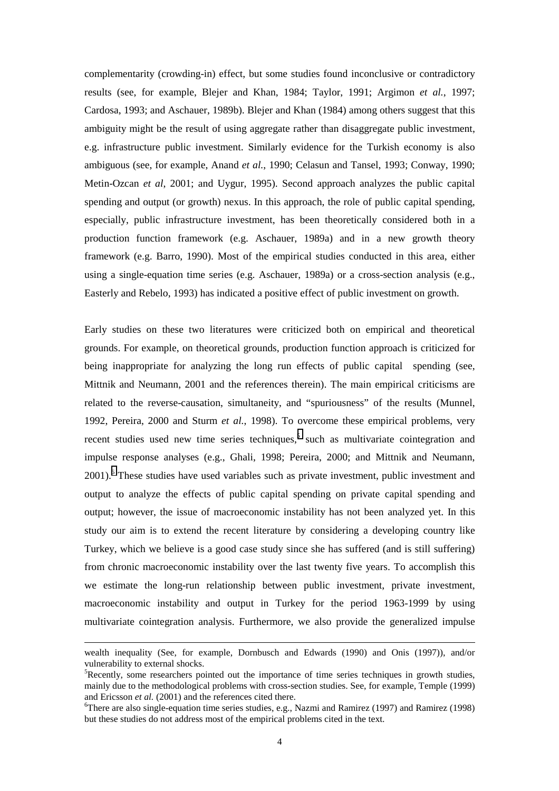complementarity (crowding-in) effect, but some studies found inconclusive or contradictory results (see, for example, Blejer and Khan, 1984; Taylor, 1991; Argimon *et al.*, 1997; Cardosa, 1993; and Aschauer, 1989b). Blejer and Khan (1984) among others suggest that this ambiguity might be the result of using aggregate rather than disaggregate public investment, e.g. infrastructure public investment. Similarly evidence for the Turkish economy is also ambiguous (see, for example, Anand *et al.*, 1990; Celasun and Tansel, 1993; Conway, 1990; Metin-Ozcan *et al*, 2001; and Uygur, 1995). Second approach analyzes the public capital spending and output (or growth) nexus. In this approach, the role of public capital spending, especially, public infrastructure investment, has been theoretically considered both in a production function framework (e.g. Aschauer, 1989a) and in a new growth theory framework (e.g. Barro, 1990). Most of the empirical studies conducted in this area, either using a single-equation time series (e.g. Aschauer, 1989a) or a cross-section analysis (e.g., Easterly and Rebelo, 1993) has indicated a positive effect of public investment on growth.

Early studies on these two literatures were criticized both on empirical and theoretical grounds. For example, on theoretical grounds, production function approach is criticized for being inappropriate for analyzing the long run effects of public capital spending (see, Mittnik and Neumann, 2001 and the references therein). The main empirical criticisms are related to the reverse-causation, simultaneity, and "spuriousness" of the results (Munnel, 1992, Pereira, 2000 and Sturm *et al.*, 1998). To overcome these empirical problems, very recent studies used new time series techniques,<sup>5</sup> such as multivariate cointegration and impulse response analyses (e.g., Ghali, 1998; Pereira, 2000; and Mittnik and Neumann, 2001).<sup>6</sup> These studies have used variables such as private investment, public investment and output to analyze the effects of public capital spending on private capital spending and output; however, the issue of macroeconomic instability has not been analyzed yet. In this study our aim is to extend the recent literature by considering a developing country like Turkey, which we believe is a good case study since she has suffered (and is still suffering) from chronic macroeconomic instability over the last twenty five years. To accomplish this we estimate the long-run relationship between public investment, private investment, macroeconomic instability and output in Turkey for the period 1963-1999 by using multivariate cointegration analysis. Furthermore, we also provide the generalized impulse

-

wealth inequality (See, for example, Dornbusch and Edwards (1990) and Onis (1997)), and/or vulnerability to external shocks.

<sup>&</sup>lt;sup>5</sup>Recently, some researchers pointed out the importance of time series techniques in growth studies, mainly due to the methodological problems with cross-section studies. See, for example, Temple (1999) and Ericsson *et al.* (2001) and the references cited there.

<sup>&</sup>lt;sup>6</sup>There are also single-equation time series studies, e.g., Nazmi and Ramirez (1997) and Ramirez (1998) but these studies do not address most of the empirical problems cited in the text.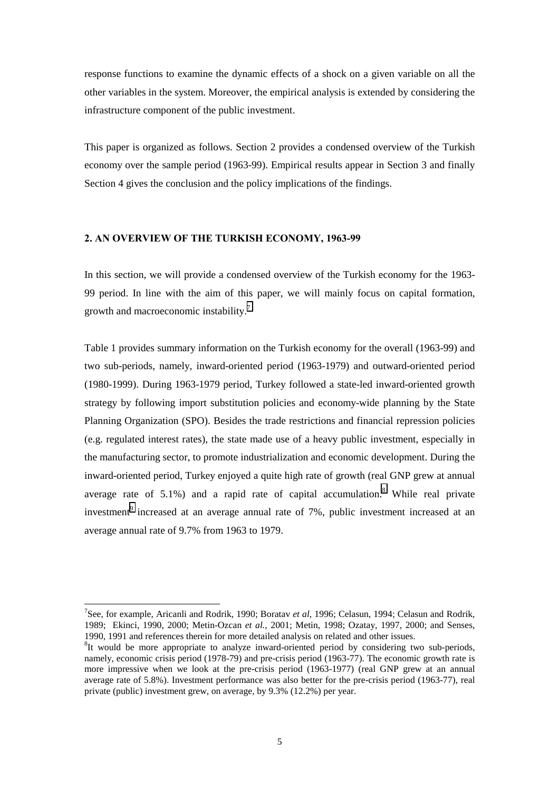response functions to examine the dynamic effects of a shock on a given variable on all the other variables in the system. Moreover, the empirical analysis is extended by considering the infrastructure component of the public investment.

This paper is organized as follows. Section 2 provides a condensed overview of the Turkish economy over the sample period (1963-99). Empirical results appear in Section 3 and finally Section 4 gives the conclusion and the policy implications of the findings.

## **2. AN OVERVIEW OF THE TURKISH ECONOMY, 1963-99**

In this section, we will provide a condensed overview of the Turkish economy for the 1963- 99 period. In line with the aim of this paper, we will mainly focus on capital formation, growth and macroeconomic instability.<sup>7</sup>

Table 1 provides summary information on the Turkish economy for the overall (1963-99) and two sub-periods, namely, inward-oriented period (1963-1979) and outward-oriented period (1980-1999). During 1963-1979 period, Turkey followed a state-led inward-oriented growth strategy by following import substitution policies and economy-wide planning by the State Planning Organization (SPO). Besides the trade restrictions and financial repression policies (e.g. regulated interest rates), the state made use of a heavy public investment, especially in the manufacturing sector, to promote industrialization and economic development. During the inward-oriented period, Turkey enjoyed a quite high rate of growth (real GNP grew at annual average rate of 5.1%) and a rapid rate of capital accumulation.<sup>8</sup> While real private investment<sup>9</sup> increased at an average annual rate of 7%, public investment increased at an average annual rate of 9.7% from 1963 to 1979.

<sup>7</sup> See, for example, Aricanli and Rodrik, 1990; Boratav *et al*, 1996; Celasun, 1994; Celasun and Rodrik, 1989; Ekinci, 1990, 2000; Metin-Ozcan *et al.,* 2001; Metin, 1998; Ozatay, 1997, 2000; and Senses, 1990, 1991 and references therein for more detailed analysis on related and other issues.

 ${}^{8}$ It would be more appropriate to analyze inward-oriented period by considering two sub-periods, namely, economic crisis period (1978-79) and pre-crisis period (1963-77). The economic growth rate is more impressive when we look at the pre-crisis period (1963-1977) (real GNP grew at an annual average rate of 5.8%). Investment performance was also better for the pre-crisis period (1963-77), real private (public) investment grew, on average, by 9.3% (12.2%) per year.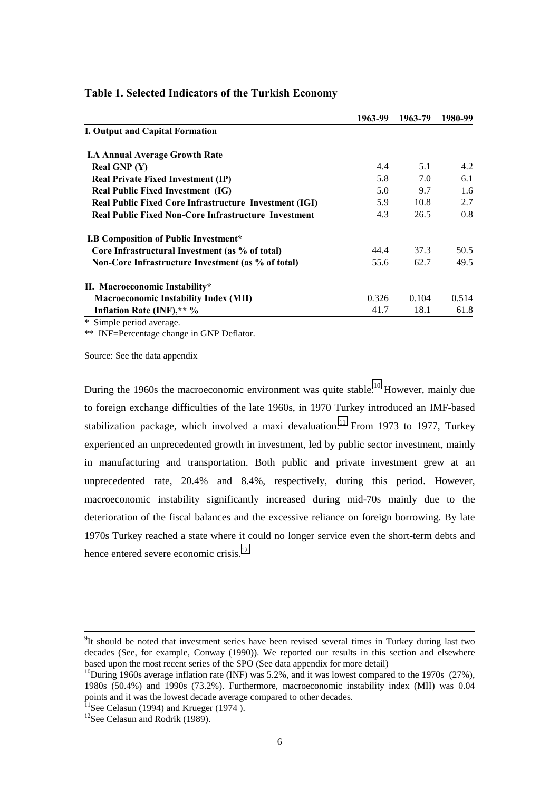|                                                             | 1963-99 | 1963-79 | 1980-99 |
|-------------------------------------------------------------|---------|---------|---------|
| I. Output and Capital Formation                             |         |         |         |
| <b>I.A Annual Average Growth Rate</b>                       |         |         |         |
| Real GNP $(Y)$                                              | 4.4     | 5.1     | 4.2     |
| <b>Real Private Fixed Investment (IP)</b>                   | 5.8     | 7.0     | 6.1     |
| <b>Real Public Fixed Investment (IG)</b>                    | 5.0     | 9.7     | 1.6     |
| Real Public Fixed Core Infrastructure Investment (IGI)      | 5.9     | 10.8    | 2.7     |
| <b>Real Public Fixed Non-Core Infrastructure Investment</b> | 4.3     | 26.5    | 0.8     |
| <b>I.B Composition of Public Investment*</b>                |         |         |         |
| Core Infrastructural Investment (as % of total)             | 44.4    | 37.3    | 50.5    |
| Non-Core Infrastructure Investment (as % of total)          | 55.6    | 62.7    | 49.5    |
| II. Macroeconomic Instability*                              |         |         |         |
| <b>Macroeconomic Instability Index (MII)</b>                | 0.326   | 0.104   | 0.514   |
| Inflation Rate (INF),** %                                   | 41.7    | 18.1    | 61.8    |
| $\cdots$ $\sim$                                             |         |         |         |

## **Table 1. Selected Indicators of the Turkish Economy**

\* Simple period average.

\*\* INF=Percentage change in GNP Deflator.

Source: See the data appendix

During the 1960s the macroeconomic environment was quite stable.<sup>10</sup> However, mainly due to foreign exchange difficulties of the late 1960s, in 1970 Turkey introduced an IMF-based stabilization package, which involved a maxi devaluation.<sup>11</sup> From 1973 to 1977, Turkey experienced an unprecedented growth in investment, led by public sector investment, mainly in manufacturing and transportation. Both public and private investment grew at an unprecedented rate, 20.4% and 8.4%, respectively, during this period. However, macroeconomic instability significantly increased during mid-70s mainly due to the deterioration of the fiscal balances and the excessive reliance on foreign borrowing. By late 1970s Turkey reached a state where it could no longer service even the short-term debts and hence entered severe economic crisis.<sup>12</sup>

<sup>-&</sup>lt;br>9 <sup>9</sup>It should be noted that investment series have been revised several times in Turkey during last two decades (See, for example, Conway (1990)). We reported our results in this section and elsewhere based upon the most recent series of the SPO (See data appendix for more detail)

<sup>&</sup>lt;sup>10</sup>During 1960s average inflation rate (INF) was 5.2%, and it was lowest compared to the 1970s (27%), 1980s (50.4%) and 1990s (73.2%). Furthermore, macroeconomic instability index (MII) was 0.04 points and it was the lowest decade average compared to other decades.

 $11$ See Celasun (1994) and Krueger (1974).

 $12$ See Celasun and Rodrik (1989).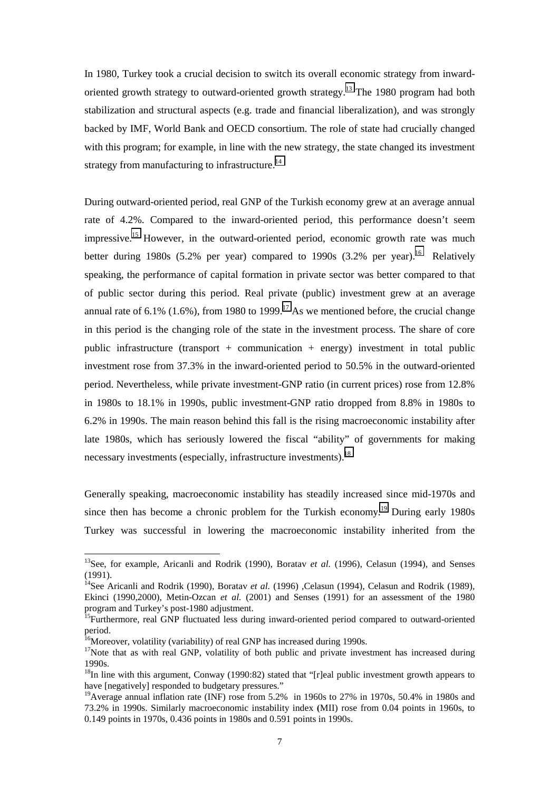In 1980, Turkey took a crucial decision to switch its overall economic strategy from inwardoriented growth strategy to outward-oriented growth strategy.<sup>13</sup> The 1980 program had both stabilization and structural aspects (e.g. trade and financial liberalization), and was strongly backed by IMF, World Bank and OECD consortium. The role of state had crucially changed with this program; for example, in line with the new strategy, the state changed its investment strategy from manufacturing to infrastructure.<sup>14</sup>

During outward-oriented period, real GNP of the Turkish economy grew at an average annual rate of 4.2%. Compared to the inward-oriented period, this performance doesn't seem impressive.<sup>15</sup> However, in the outward-oriented period, economic growth rate was much better during 1980s (5.2% per year) compared to 1990s (3.2% per year).<sup>16</sup> Relatively speaking, the performance of capital formation in private sector was better compared to that of public sector during this period. Real private (public) investment grew at an average annual rate of 6.1% (1.6%), from 1980 to 1999.<sup>17</sup> As we mentioned before, the crucial change in this period is the changing role of the state in the investment process. The share of core public infrastructure (transport + communication + energy) investment in total public investment rose from 37.3% in the inward-oriented period to 50.5% in the outward-oriented period. Nevertheless, while private investment-GNP ratio (in current prices) rose from 12.8% in 1980s to 18.1% in 1990s, public investment-GNP ratio dropped from 8.8% in 1980s to 6.2% in 1990s. The main reason behind this fall is the rising macroeconomic instability after late 1980s, which has seriously lowered the fiscal "ability" of governments for making necessary investments (especially, infrastructure investments).<sup>18</sup>

Generally speaking, macroeconomic instability has steadily increased since mid-1970s and since then has become a chronic problem for the Turkish economy.<sup>19</sup> During early 1980s Turkey was successful in lowering the macroeconomic instability inherited from the

<sup>&</sup>lt;sup>13</sup>See, for example, Aricanli and Rodrik (1990), Boratav *et al.* (1996), Celasun (1994), and Senses (1991).

<sup>&</sup>lt;sup>14</sup>See Aricanli and Rodrik (1990), Boratav *et al.* (1996) ,Celasun (1994), Celasun and Rodrik (1989), Ekinci (1990,2000), Metin-Ozcan *et al.* (2001) and Senses (1991) for an assessment of the 1980 program and Turkey's post-1980 adjustment.

<sup>&</sup>lt;sup>15</sup>Furthermore, real GNP fluctuated less during inward-oriented period compared to outward-oriented period.

 $16$ Moreover, volatility (variability) of real GNP has increased during 1990s.

<sup>&</sup>lt;sup>17</sup>Note that as with real GNP, volatility of both public and private investment has increased during 1990s.

<sup>&</sup>lt;sup>18</sup>In line with this argument, Conway (1990:82) stated that "[r]eal public investment growth appears to have [negatively] responded to budgetary pressures."

<sup>&</sup>lt;sup>19</sup>Average annual inflation rate (INF) rose from 5.2% in 1960s to 27% in 1970s, 50.4% in 1980s and 73.2% in 1990s. Similarly macroeconomic instability index **(**MII) rose from 0.04 points in 1960s, to 0.149 points in 1970s, 0.436 points in 1980s and 0.591 points in 1990s.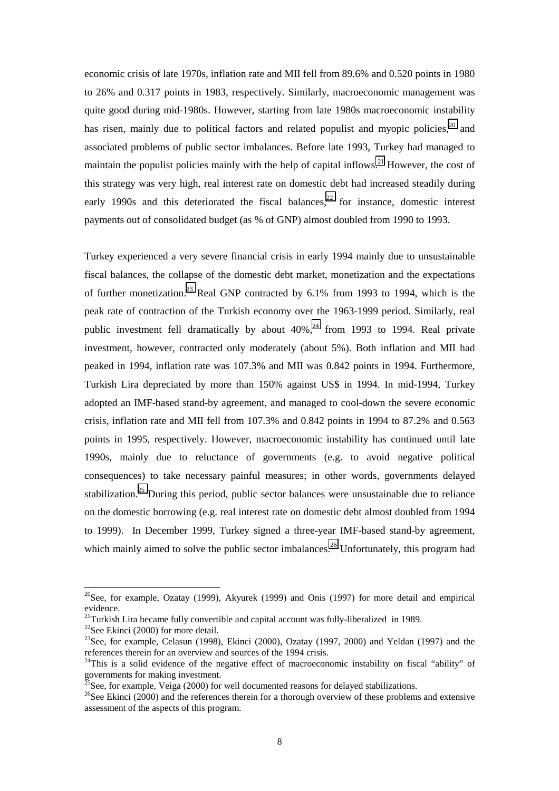economic crisis of late 1970s, inflation rate and MII fell from 89.6% and 0.520 points in 1980 to 26% and 0.317 points in 1983, respectively. Similarly, macroeconomic management was quite good during mid-1980s. However, starting from late 1980s macroeconomic instability has risen, mainly due to political factors and related populist and myopic policies,  $2^{\circ}$  and associated problems of public sector imbalances. Before late 1993, Turkey had managed to maintain the populist policies mainly with the help of capital inflows.<sup>21</sup> However, the cost of this strategy was very high, real interest rate on domestic debt had increased steadily during early 1990s and this deteriorated the fiscal balances.<sup>22</sup> for instance, domestic interest payments out of consolidated budget (as % of GNP) almost doubled from 1990 to 1993.

Turkey experienced a very severe financial crisis in early 1994 mainly due to unsustainable fiscal balances, the collapse of the domestic debt market, monetization and the expectations of further monetization.<sup>23</sup> Real GNP contracted by 6.1% from 1993 to 1994, which is the peak rate of contraction of the Turkish economy over the 1963-1999 period. Similarly, real public investment fell dramatically by about  $40\%$ ,  $^{24}$  from 1993 to 1994. Real private investment, however, contracted only moderately (about 5%). Both inflation and MII had peaked in 1994, inflation rate was 107.3% and MII was 0.842 points in 1994. Furthermore, Turkish Lira depreciated by more than 150% against US\$ in 1994. In mid-1994, Turkey adopted an IMF-based stand-by agreement, and managed to cool-down the severe economic crisis, inflation rate and MII fell from 107.3% and 0.842 points in 1994 to 87.2% and 0.563 points in 1995, respectively. However, macroeconomic instability has continued until late 1990s, mainly due to reluctance of governments (e.g. to avoid negative political consequences) to take necessary painful measures; in other words, governments delayed stabilization.<sup>25</sup> During this period, public sector balances were unsustainable due to reliance on the domestic borrowing (e.g. real interest rate on domestic debt almost doubled from 1994 to 1999). In December 1999, Turkey signed a three-year IMF-based stand-by agreement, which mainly aimed to solve the public sector imbalances.<sup>26</sup> Unfortunately, this program had

 $20$ See, for example, Ozatay (1999), Akyurek (1999) and Onis (1997) for more detail and empirical evidence.

<sup>&</sup>lt;sup>21</sup>Turkish Lira became fully convertible and capital account was fully-liberalized in 1989.

 $22$ See Ekinci (2000) for more detail.

<sup>&</sup>lt;sup>23</sup>See, for example, Celasun (1998), Ekinci (2000), Ozatay (1997, 2000) and Yeldan (1997) and the references therein for an overview and sources of the 1994 crisis.

<sup>&</sup>lt;sup>24</sup>This is a solid evidence of the negative effect of macroeconomic instability on fiscal "ability" of governments for making investment.

 $^{25}$ See, for example, Veiga (2000) for well documented reasons for delayed stabilizations.

 $^{26}$ See Ekinci (2000) and the references therein for a thorough overview of these problems and extensive assessment of the aspects of this program.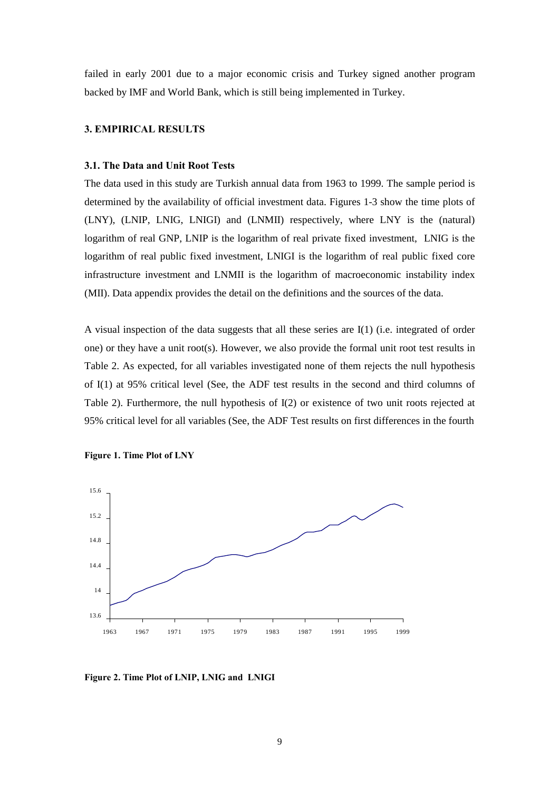failed in early 2001 due to a major economic crisis and Turkey signed another program backed by IMF and World Bank, which is still being implemented in Turkey.

## **3. EMPIRICAL RESULTS**

#### **3.1. The Data and Unit Root Tests**

The data used in this study are Turkish annual data from 1963 to 1999. The sample period is determined by the availability of official investment data. Figures 1-3 show the time plots of (LNY), (LNIP, LNIG, LNIGI) and (LNMII) respectively, where LNY is the (natural) logarithm of real GNP, LNIP is the logarithm of real private fixed investment, LNIG is the logarithm of real public fixed investment, LNIGI is the logarithm of real public fixed core infrastructure investment and LNMII is the logarithm of macroeconomic instability index (MII). Data appendix provides the detail on the definitions and the sources of the data.

A visual inspection of the data suggests that all these series are I(1) (i.e. integrated of order one) or they have a unit root(s). However, we also provide the formal unit root test results in Table 2. As expected, for all variables investigated none of them rejects the null hypothesis of I(1) at 95% critical level (See, the ADF test results in the second and third columns of Table 2). Furthermore, the null hypothesis of I(2) or existence of two unit roots rejected at 95% critical level for all variables (See, the ADF Test results on first differences in the fourth





**Figure 2. Time Plot of LNIP, LNIG and LNIGI**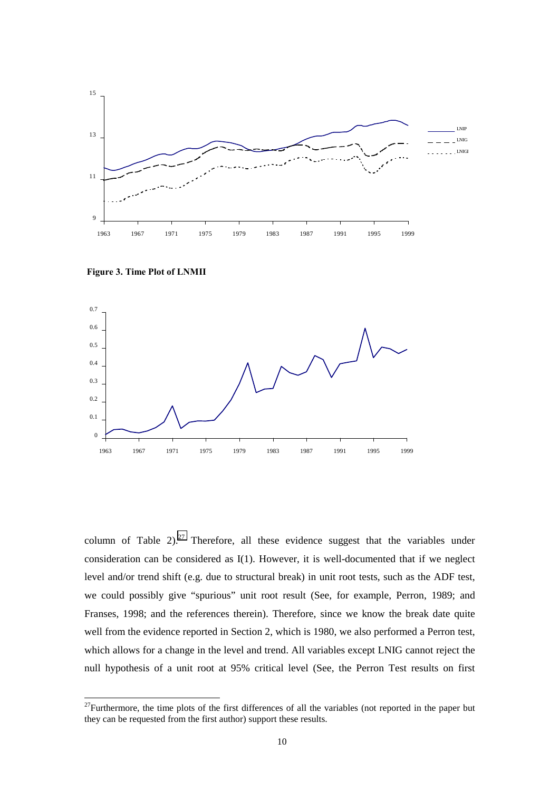

 **Figure 3. Time Plot of LNMII**

l



column of Table  $2)^{27}$  Therefore, all these evidence suggest that the variables under consideration can be considered as I(1). However, it is well-documented that if we neglect level and/or trend shift (e.g. due to structural break) in unit root tests, such as the ADF test, we could possibly give "spurious" unit root result (See, for example, Perron, 1989; and Franses, 1998; and the references therein). Therefore, since we know the break date quite well from the evidence reported in Section 2, which is 1980, we also performed a Perron test, which allows for a change in the level and trend. All variables except LNIG cannot reject the null hypothesis of a unit root at 95% critical level (See, the Perron Test results on first

<sup>&</sup>lt;sup>27</sup>Furthermore, the time plots of the first differences of all the variables (not reported in the paper but they can be requested from the first author) support these results.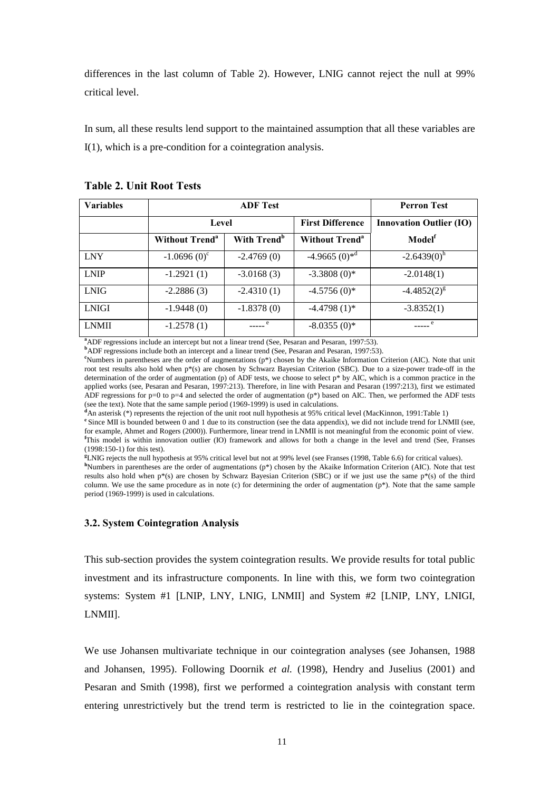differences in the last column of Table 2). However, LNIG cannot reject the null at 99% critical level.

In sum, all these results lend support to the maintained assumption that all these variables are I(1), which is a pre-condition for a cointegration analysis.

| <b>Variables</b> |                                  | <b>Perron Test</b>      |                                  |                                |  |
|------------------|----------------------------------|-------------------------|----------------------------------|--------------------------------|--|
|                  | Level                            |                         | <b>First Difference</b>          | <b>Innovation Outlier (IO)</b> |  |
|                  | <b>Without Trend<sup>a</sup></b> | With Trend <sup>b</sup> | <b>Without Trend<sup>a</sup></b> | Model <sup>f</sup>             |  |
| <b>LNY</b>       | $-1.0696(0)^{\circ}$             | $-2.4769(0)$            | $-4.9665(0)*d$                   | $-2.6439(0)^h$                 |  |
| <b>LNIP</b>      | $-1.2921(1)$                     | $-3.0168(3)$            | $-3.3808(0)*$                    | $-2.0148(1)$                   |  |
| <b>LNIG</b>      | $-2.2886(3)$                     | $-2.4310(1)$            | $-4.5756(0)$ *                   | $-4.4852(2)^{g}$               |  |
| <b>LNIGI</b>     | $-1.9448(0)$                     | $-1.8378(0)$            | $-4.4798(1)$ *                   | $-3.8352(1)$                   |  |
| <b>LNMII</b>     | $-1.2578(1)$                     |                         | $-8.0355(0)$ *                   |                                |  |

**Table 2. Unit Root Tests**

<sup>a</sup>ADF regressions include an intercept but not a linear trend (See, Pesaran and Pesaran, 1997:53).

<sup>b</sup>ADF regressions include both an intercept and a linear trend (See, Pesaran and Pesaran, 1997:53).

**c** Numbers in parentheses are the order of augmentations (p\*) chosen by the Akaike Information Criterion (AIC). Note that unit root test results also hold when p\*(s) are chosen by Schwarz Bayesian Criterion (SBC). Due to a size-power trade-off in the determination of the order of augmentation (p) of ADF tests, we choose to select  $p^*$  by AIC, which is a common practice in the applied works (see, Pesaran and Pesaran, 1997:213). Therefore, in line with Pesaran and Pesaran (1997:213), first we estimated ADF regressions for p=0 to p=4 and selected the order of augmentation (p\*) based on AIC. Then, we performed the ADF tests (see the text). Note that the same sample period (1969-1999) is used in calculations.

**d** An asterisk (\*) represents the rejection of the unit root null hypothesis at 95% critical level (MacKinnon, 1991:Table 1)

<sup>e</sup> Since MII is bounded between 0 and 1 due to its construction (see the data appendix), we did not include trend for LNMII (see, for example, Ahmet and Rogers (2000)). Furthermore, linear trend in LNMII is not meaningful from the economic point of view. **f** This model is within innovation outlier (IO) framework and allows for both a change in the level and trend (See, Franses (1998:150-1) for this test).

**g** LNIG rejects the null hypothesis at 95% critical level but not at 99% level (see Franses (1998, Table 6.6) for critical values).

**h** Numbers in parentheses are the order of augmentations (p\*) chosen by the Akaike Information Criterion (AIC). Note that test results also hold when p\*(s) are chosen by Schwarz Bayesian Criterion (SBC) or if we just use the same p\*(s) of the third column. We use the same procedure as in note (c) for determining the order of augmentation  $(p^*)$ . Note that the same sample period (1969-1999) is used in calculations.

#### **3.2. System Cointegration Analysis**

This sub-section provides the system cointegration results. We provide results for total public investment and its infrastructure components. In line with this, we form two cointegration systems: System #1 [LNIP, LNY, LNIG, LNMII] and System #2 [LNIP, LNY, LNIGI, LNMII].

We use Johansen multivariate technique in our cointegration analyses (see Johansen, 1988 and Johansen, 1995). Following Doornik *et al.* (1998), Hendry and Juselius (2001) and Pesaran and Smith (1998), first we performed a cointegration analysis with constant term entering unrestrictively but the trend term is restricted to lie in the cointegration space.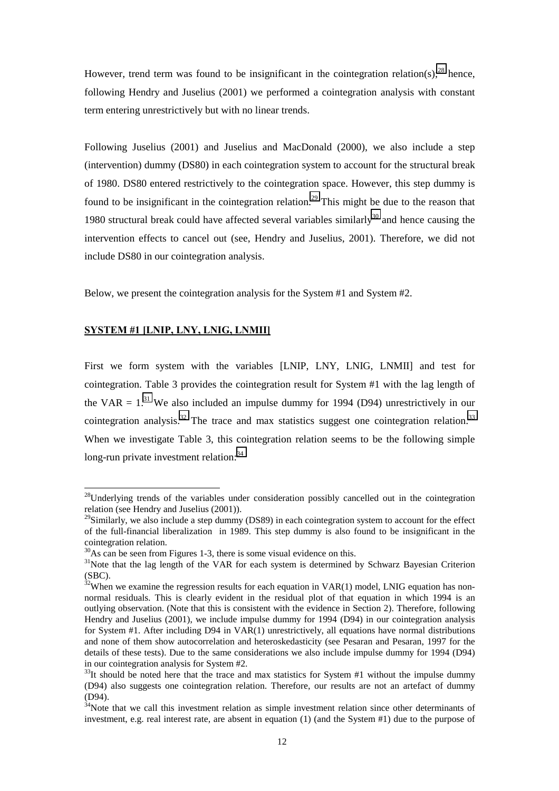However, trend term was found to be insignificant in the cointegration relation(s);<sup>28</sup> hence, following Hendry and Juselius (2001) we performed a cointegration analysis with constant term entering unrestrictively but with no linear trends.

Following Juselius (2001) and Juselius and MacDonald (2000), we also include a step (intervention) dummy (DS80) in each cointegration system to account for the structural break of 1980. DS80 entered restrictively to the cointegration space. However, this step dummy is found to be insignificant in the cointegration relation.<sup>29</sup> This might be due to the reason that 1980 structural break could have affected several variables similarly $30$  and hence causing the intervention effects to cancel out (see, Hendry and Juselius, 2001). Therefore, we did not include DS80 in our cointegration analysis.

Below, we present the cointegration analysis for the System #1 and System #2.

## **SYSTEM #1 [LNIP, LNY, LNIG, LNMII]**

l

First we form system with the variables [LNIP, LNY, LNIG, LNMII] and test for cointegration. Table 3 provides the cointegration result for System #1 with the lag length of the VAR  $= 1$ .<sup>31</sup> We also included an impulse dummy for 1994 (D94) unrestrictively in our cointegration analysis.<sup>32</sup> The trace and max statistics suggest one cointegration relation.<sup>33</sup> When we investigate Table 3, this cointegration relation seems to be the following simple long-run private investment relation: 34

 $28$ Underlying trends of the variables under consideration possibly cancelled out in the cointegration relation (see Hendry and Juselius (2001)).

<sup>&</sup>lt;sup>29</sup>Similarly, we also include a step dummy (DS89) in each cointegration system to account for the effect of the full-financial liberalization in 1989. This step dummy is also found to be insignificant in the cointegration relation.

 $30\text{As}$  can be seen from Figures 1-3, there is some visual evidence on this.

<sup>&</sup>lt;sup>31</sup>Note that the lag length of the VAR for each system is determined by Schwarz Bayesian Criterion (SBC).

 $32$ When we examine the regression results for each equation in VAR(1) model, LNIG equation has nonnormal residuals. This is clearly evident in the residual plot of that equation in which 1994 is an outlying observation. (Note that this is consistent with the evidence in Section 2). Therefore, following Hendry and Juselius (2001), we include impulse dummy for 1994 (D94) in our cointegration analysis for System #1. After including D94 in VAR(1) unrestrictively, all equations have normal distributions and none of them show autocorrelation and heteroskedasticity (see Pesaran and Pesaran, 1997 for the details of these tests). Due to the same considerations we also include impulse dummy for 1994 (D94) in our cointegration analysis for System #2.

 $33$ It should be noted here that the trace and max statistics for System #1 without the impulse dummy (D94) also suggests one cointegration relation. Therefore, our results are not an artefact of dummy  $(D94)$ .

 $34$ Note that we call this investment relation as simple investment relation since other determinants of investment, e.g. real interest rate, are absent in equation (1) (and the System #1) due to the purpose of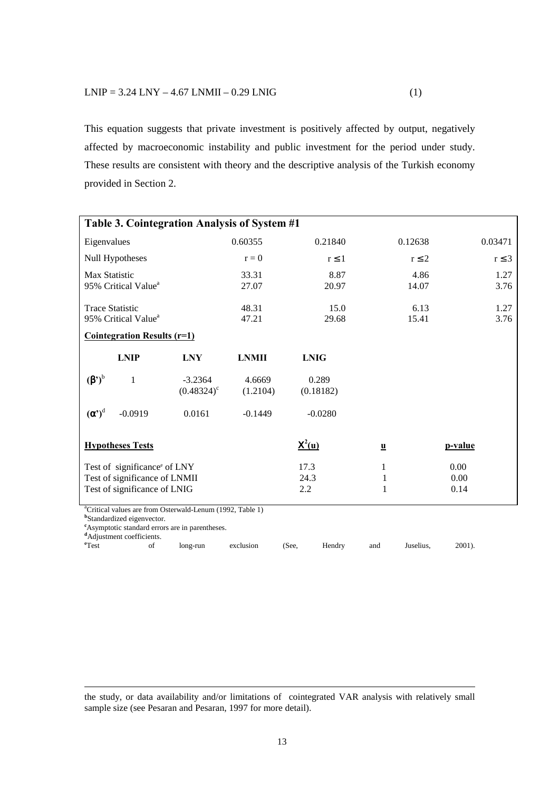This equation suggests that private investment is positively affected by output, negatively affected by macroeconomic instability and public investment for the period under study. These results are consistent with theory and the descriptive analysis of the Turkish economy provided in Section 2.

| Table 3. Cointegration Analysis of System #1                                                                                                                                                                                                       |                     |              |                      |                          |            |         |            |
|----------------------------------------------------------------------------------------------------------------------------------------------------------------------------------------------------------------------------------------------------|---------------------|--------------|----------------------|--------------------------|------------|---------|------------|
| Eigenvalues                                                                                                                                                                                                                                        |                     | 0.60355      | 0.21840              |                          | 0.12638    |         | 0.03471    |
| Null Hypotheses                                                                                                                                                                                                                                    |                     | $r = 0$      | $r \leq 1$           |                          | $r \leq 2$ |         | $r \leq 3$ |
| <b>Max Statistic</b>                                                                                                                                                                                                                               |                     | 33.31        | 8.87                 |                          | 4.86       |         | 1.27       |
| 95% Critical Value <sup>a</sup>                                                                                                                                                                                                                    |                     | 27.07        | 20.97                |                          | 14.07      |         | 3.76       |
| <b>Trace Statistic</b>                                                                                                                                                                                                                             |                     | 48.31        | 15.0                 |                          | 6.13       |         | 1.27       |
| 95% Critical Value <sup>a</sup>                                                                                                                                                                                                                    |                     | 47.21        | 29.68                |                          | 15.41      |         | 3.76       |
| <b>Cointegration Results (r=1)</b>                                                                                                                                                                                                                 |                     |              |                      |                          |            |         |            |
| <b>LNIP</b>                                                                                                                                                                                                                                        | <b>LNY</b>          | <b>LNMII</b> | <b>LNIG</b>          |                          |            |         |            |
| $(\beta')^b$<br>1                                                                                                                                                                                                                                  | $-3.2364$           | 4.6669       | 0.289                |                          |            |         |            |
|                                                                                                                                                                                                                                                    | $(0.48324)^{\circ}$ | (1.2104)     | (0.18182)            |                          |            |         |            |
| $(\alpha')^d$<br>$-0.0919$                                                                                                                                                                                                                         | 0.0161              | $-0.1449$    | $-0.0280$            |                          |            |         |            |
| <b>Hypotheses Tests</b>                                                                                                                                                                                                                            |                     |              | $\underline{X}^2(u)$ | $\underline{\mathbf{u}}$ |            | p-value |            |
| Test of significance <sup>e</sup> of LNY                                                                                                                                                                                                           |                     |              | 17.3                 | 1                        |            | 0.00    |            |
| Test of significance of LNMII<br>24.3                                                                                                                                                                                                              |                     |              | 1                    |                          | 0.00       |         |            |
| Test of significance of LNIG                                                                                                                                                                                                                       |                     | 2.2          | 1                    |                          | 0.14       |         |            |
| <sup>a</sup> Critical values are from Osterwald-Lenum (1992, Table 1)<br><sup>b</sup> Standardized eigenvector.<br><sup>e</sup> Asymptotic standard errors are in parentheses.<br><sup>d</sup> Adjustment coefficients.<br>e <sub>Test</sub><br>of | long-run            | exclusion    | (See,<br>Hendry      | and                      | Juselius.  | 2001).  |            |

the study, or data availability and/or limitations of cointegrated VAR analysis with relatively small sample size (see Pesaran and Pesaran, 1997 for more detail).

1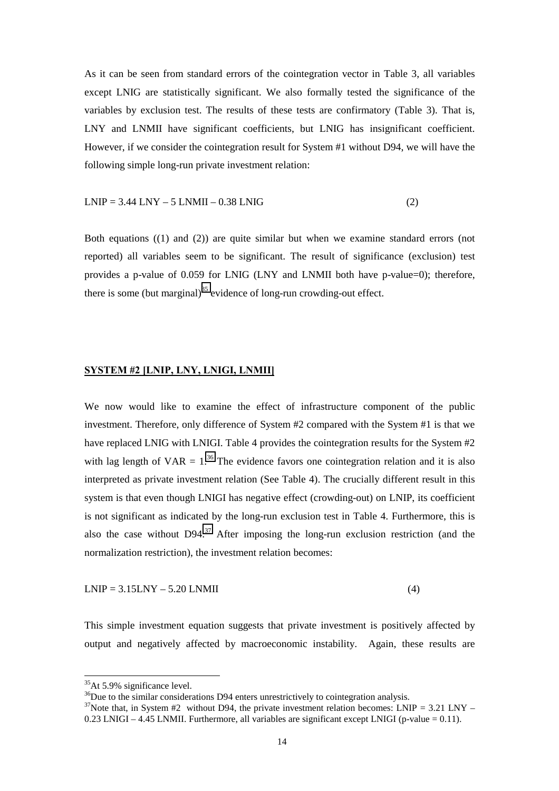As it can be seen from standard errors of the cointegration vector in Table 3, all variables except LNIG are statistically significant. We also formally tested the significance of the variables by exclusion test. The results of these tests are confirmatory (Table 3). That is, LNY and LNMII have significant coefficients, but LNIG has insignificant coefficient. However, if we consider the cointegration result for System #1 without D94, we will have the following simple long-run private investment relation:

## $LNIP = 3.44 LNY - 5 LNMI - 0.38 LNIG$  (2)

Both equations ((1) and (2)) are quite similar but when we examine standard errors (not reported) all variables seem to be significant. The result of significance (exclusion) test provides a p-value of 0.059 for LNIG (LNY and LNMII both have p-value=0); therefore, there is some (but marginal)<sup>35</sup> evidence of long-run crowding-out effect.

## **SYSTEM #2 [LNIP, LNY, LNIGI, LNMII]**

We now would like to examine the effect of infrastructure component of the public investment. Therefore, only difference of System #2 compared with the System #1 is that we have replaced LNIG with LNIGI. Table 4 provides the cointegration results for the System #2 with lag length of  $VAR = 1<sup>36</sup>$ . The evidence favors one cointegration relation and it is also interpreted as private investment relation (See Table 4). The crucially different result in this system is that even though LNIGI has negative effect (crowding-out) on LNIP, its coefficient is not significant as indicated by the long-run exclusion test in Table 4. Furthermore, this is also the case without  $D94<sup>37</sup>$  After imposing the long-run exclusion restriction (and the normalization restriction), the investment relation becomes:

$$
LNIP = 3.15LNY - 5.20 LNMI
$$
\n
$$
(4)
$$

This simple investment equation suggests that private investment is positively affected by output and negatively affected by macroeconomic instability. Again, these results are

<sup>35</sup>At 5.9% significance level.

<sup>&</sup>lt;sup>36</sup>Due to the similar considerations D94 enters unrestrictively to cointegration analysis.

<sup>&</sup>lt;sup>37</sup>Note that, in System #2 without D94, the private investment relation becomes: LNIP = 3.21 LNY –  $0.23$  LNIGI – 4.45 LNMII. Furthermore, all variables are significant except LNIGI (p-value = 0.11).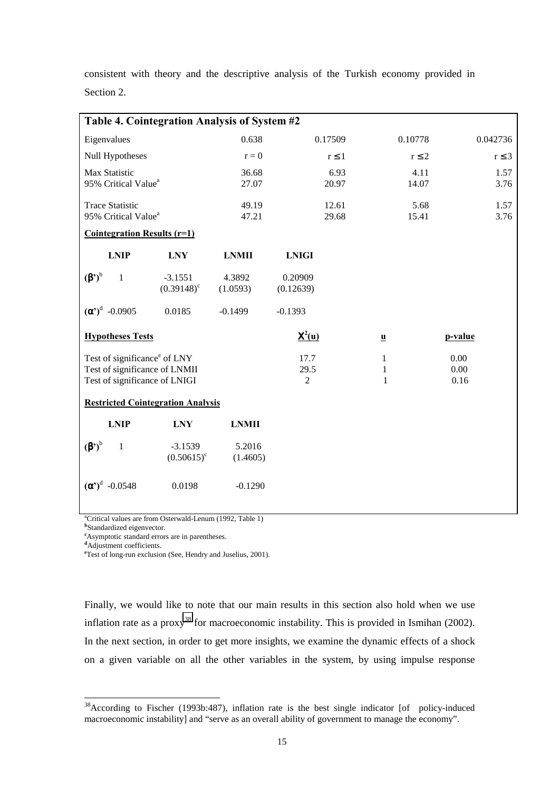consistent with theory and the descriptive analysis of the Turkish economy provided in Section 2.

| Table 4. Cointegration Analysis of System #2                   |                                  |                        |                              |                         |            |  |  |
|----------------------------------------------------------------|----------------------------------|------------------------|------------------------------|-------------------------|------------|--|--|
| Eigenvalues                                                    |                                  | 0.638                  | 0.17509                      | 0.10778                 | 0.042736   |  |  |
| Null Hypotheses                                                |                                  | $r = 0$                | $r \leq 1$                   | $r \leq 2$              | $r \leq 3$ |  |  |
| Max Statistic                                                  |                                  | 36.68                  | 6.93                         | 4.11                    | 1.57       |  |  |
| 95% Critical Value <sup>a</sup>                                |                                  | 27.07                  | 20.97                        | 14.07                   | 3.76       |  |  |
| <b>Trace Statistic</b>                                         |                                  | 49.19<br>47.21         | 12.61                        | 5.68                    | 1.57       |  |  |
|                                                                | 95% Critical Value <sup>a</sup>  |                        | 29.68                        | 15.41                   | 3.76       |  |  |
| <b>Cointegration Results (r=1)</b>                             |                                  |                        |                              |                         |            |  |  |
| <b>LNIP</b>                                                    | <b>LNY</b>                       | <b>LNMII</b>           | <b>LNIGI</b>                 |                         |            |  |  |
| $(\beta')^b$<br>1                                              | $-3.1551$<br>$(0.39148)^{\circ}$ | 4.3892<br>(1.0593)     | 0.20909<br>(0.12639)         |                         |            |  |  |
| $({\alpha}^{\prime})^d$ -0.0905                                | 0.0185                           | $-0.1499$              | $-0.1393$                    |                         |            |  |  |
| <b>Hypotheses Tests</b>                                        |                                  |                        | ${\bf X}^2({\bf u})$         | $\overline{\mathbf{u}}$ | p-value    |  |  |
| Test of significance <sup>e</sup> of LNY                       |                                  | 17.7                   | $\mathbf{1}$                 | 0.00                    |            |  |  |
| Test of significance of LNMII<br>Test of significance of LNIGI |                                  | 29.5<br>$\overline{2}$ | $\mathbf{1}$<br>$\mathbf{1}$ | 0.00<br>0.16            |            |  |  |
|                                                                |                                  |                        |                              |                         |            |  |  |
| <b>Restricted Cointegration Analysis</b>                       |                                  |                        |                              |                         |            |  |  |
| <b>LNIP</b>                                                    | <b>LNY</b>                       | <b>LNMII</b>           |                              |                         |            |  |  |
| $(\boldsymbol{\beta}')^{\mathrm{b}}$<br>1                      | $-3.1539$                        | 5.2016                 |                              |                         |            |  |  |
|                                                                | $(0.50615)^{\circ}$              | (1.4605)               |                              |                         |            |  |  |
| $(\alpha')^d$<br>$-0.0548$                                     | 0.0198                           | $-0.1290$              |                              |                         |            |  |  |

a Critical values are from Osterwald-Lenum (1992, Table 1)

**b** Standardized eigenvector.

**c** Asymptotic standard errors are in parentheses. **d** Adjustment coefficients.

l

**e** Test of long-run exclusion (See, Hendry and Juselius, 2001).

Finally, we would like to note that our main results in this section also hold when we use inflation rate as a proxy<sup>38</sup> for macroeconomic instability. This is provided in Ismihan (2002). In the next section, in order to get more insights, we examine the dynamic effects of a shock on a given variable on all the other variables in the system, by using impulse response

<sup>38</sup>According to Fischer (1993b:487), inflation rate is the best single indicator [of policy-induced macroeconomic instability] and "serve as an overall ability of government to manage the economy".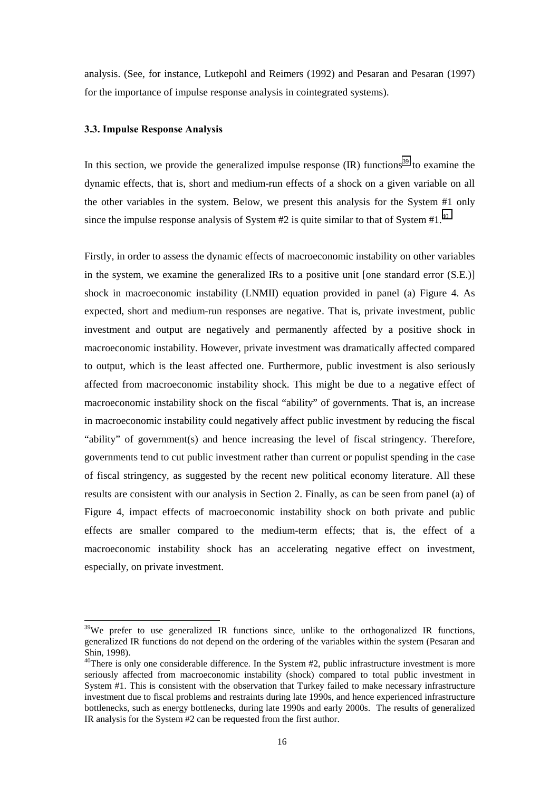analysis. (See, for instance, Lutkepohl and Reimers (1992) and Pesaran and Pesaran (1997) for the importance of impulse response analysis in cointegrated systems).

#### **3.3. Impulse Response Analysis**

l

In this section, we provide the generalized impulse response  $\text{(IR)}$  functions<sup>39</sup> to examine the dynamic effects, that is, short and medium-run effects of a shock on a given variable on all the other variables in the system. Below, we present this analysis for the System #1 only since the impulse response analysis of System  $#2$  is quite similar to that of System  $#1.^{40}$ 

Firstly, in order to assess the dynamic effects of macroeconomic instability on other variables in the system, we examine the generalized IRs to a positive unit [one standard error (S.E.)] shock in macroeconomic instability (LNMII) equation provided in panel (a) Figure 4. As expected, short and medium-run responses are negative. That is, private investment, public investment and output are negatively and permanently affected by a positive shock in macroeconomic instability. However, private investment was dramatically affected compared to output, which is the least affected one. Furthermore, public investment is also seriously affected from macroeconomic instability shock. This might be due to a negative effect of macroeconomic instability shock on the fiscal "ability" of governments. That is, an increase in macroeconomic instability could negatively affect public investment by reducing the fiscal "ability" of government(s) and hence increasing the level of fiscal stringency. Therefore, governments tend to cut public investment rather than current or populist spending in the case of fiscal stringency, as suggested by the recent new political economy literature. All these results are consistent with our analysis in Section 2. Finally, as can be seen from panel (a) of Figure 4, impact effects of macroeconomic instability shock on both private and public effects are smaller compared to the medium-term effects; that is, the effect of a macroeconomic instability shock has an accelerating negative effect on investment, especially, on private investment.

 $39$ We prefer to use generalized IR functions since, unlike to the orthogonalized IR functions, generalized IR functions do not depend on the ordering of the variables within the system (Pesaran and Shin, 1998).

 $40$ There is only one considerable difference. In the System #2, public infrastructure investment is more seriously affected from macroeconomic instability (shock) compared to total public investment in System #1. This is consistent with the observation that Turkey failed to make necessary infrastructure investment due to fiscal problems and restraints during late 1990s, and hence experienced infrastructure bottlenecks, such as energy bottlenecks, during late 1990s and early 2000s. The results of generalized IR analysis for the System #2 can be requested from the first author.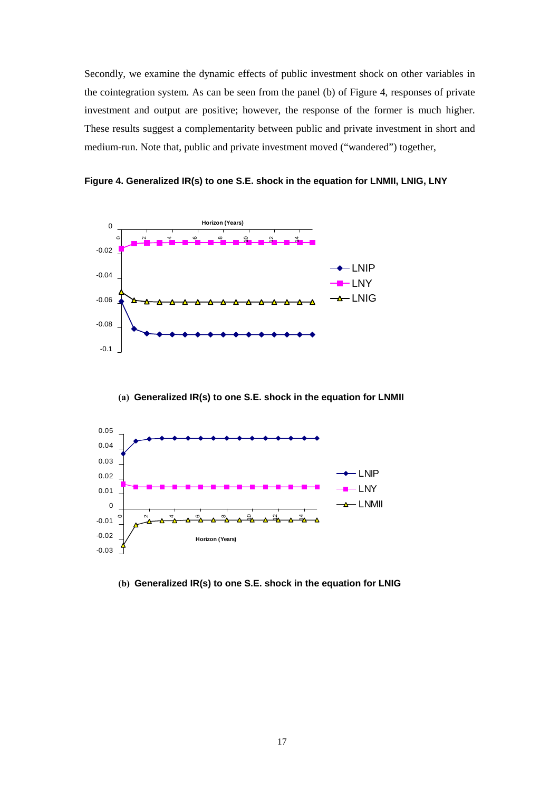Secondly, we examine the dynamic effects of public investment shock on other variables in the cointegration system. As can be seen from the panel (b) of Figure 4, responses of private investment and output are positive; however, the response of the former is much higher. These results suggest a complementarity between public and private investment in short and medium-run. Note that, public and private investment moved ("wandered") together,

**Figure 4. Generalized IR(s) to one S.E. shock in the equation for LNMII, LNIG, LNY**



**(a) Generalized IR(s) to one S.E. shock in the equation for LNMII**



 **(b) Generalized IR(s) to one S.E. shock in the equation for LNIG**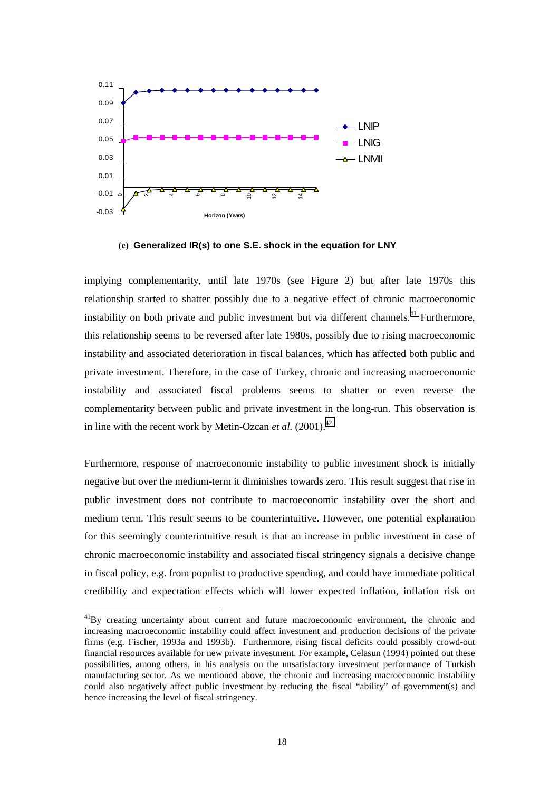

**(c) Generalized IR(s) to one S.E. shock in the equation for LNY**

implying complementarity, until late 1970s (see Figure 2) but after late 1970s this relationship started to shatter possibly due to a negative effect of chronic macroeconomic instability on both private and public investment but via different channels.<sup>41</sup> Furthermore, this relationship seems to be reversed after late 1980s, possibly due to rising macroeconomic instability and associated deterioration in fiscal balances, which has affected both public and private investment. Therefore, in the case of Turkey, chronic and increasing macroeconomic instability and associated fiscal problems seems to shatter or even reverse the complementarity between public and private investment in the long-run. This observation is in line with the recent work by Metin-Ozcan *et al.*  $(2001)^{42}$ 

Furthermore, response of macroeconomic instability to public investment shock is initially negative but over the medium-term it diminishes towards zero. This result suggest that rise in public investment does not contribute to macroeconomic instability over the short and medium term. This result seems to be counterintuitive. However, one potential explanation for this seemingly counterintuitive result is that an increase in public investment in case of chronic macroeconomic instability and associated fiscal stringency signals a decisive change in fiscal policy, e.g. from populist to productive spending, and could have immediate political credibility and expectation effects which will lower expected inflation, inflation risk on

<sup>&</sup>lt;sup>41</sup>By creating uncertainty about current and future macroeconomic environment, the chronic and increasing macroeconomic instability could affect investment and production decisions of the private firms (e.g. Fischer, 1993a and 1993b). Furthermore, rising fiscal deficits could possibly crowd-out financial resources available for new private investment. For example, Celasun (1994) pointed out these possibilities, among others, in his analysis on the unsatisfactory investment performance of Turkish manufacturing sector. As we mentioned above, the chronic and increasing macroeconomic instability could also negatively affect public investment by reducing the fiscal "ability" of government(s) and hence increasing the level of fiscal stringency.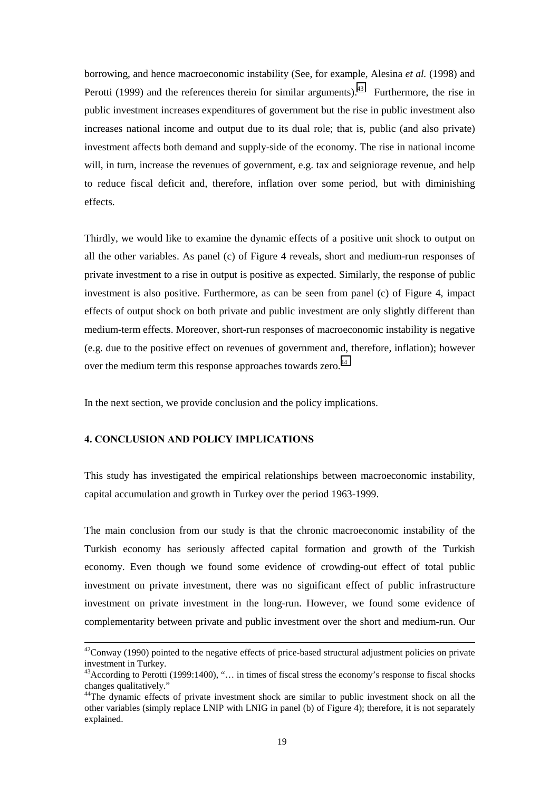borrowing, and hence macroeconomic instability (See, for example, Alesina *et al.* (1998) and Perotti (1999) and the references therein for similar arguments).<sup>43</sup> Furthermore, the rise in public investment increases expenditures of government but the rise in public investment also increases national income and output due to its dual role; that is, public (and also private) investment affects both demand and supply-side of the economy. The rise in national income will, in turn, increase the revenues of government, e.g. tax and seigniorage revenue, and help to reduce fiscal deficit and, therefore, inflation over some period, but with diminishing effects.

Thirdly, we would like to examine the dynamic effects of a positive unit shock to output on all the other variables. As panel (c) of Figure 4 reveals, short and medium-run responses of private investment to a rise in output is positive as expected. Similarly, the response of public investment is also positive. Furthermore, as can be seen from panel (c) of Figure 4, impact effects of output shock on both private and public investment are only slightly different than medium-term effects. Moreover, short-run responses of macroeconomic instability is negative (e.g. due to the positive effect on revenues of government and, therefore, inflation); however over the medium term this response approaches towards zero.<sup>44</sup>

In the next section, we provide conclusion and the policy implications.

## **4. CONCLUSION AND POLICY IMPLICATIONS**

This study has investigated the empirical relationships between macroeconomic instability, capital accumulation and growth in Turkey over the period 1963-1999.

The main conclusion from our study is that the chronic macroeconomic instability of the Turkish economy has seriously affected capital formation and growth of the Turkish economy. Even though we found some evidence of crowding-out effect of total public investment on private investment, there was no significant effect of public infrastructure investment on private investment in the long-run. However, we found some evidence of complementarity between private and public investment over the short and medium-run. Our

 $42$ Conway (1990) pointed to the negative effects of price-based structural adjustment policies on private investment in Turkey.

<sup>43</sup>According to Perotti (1999:1400), "… in times of fiscal stress the economy's response to fiscal shocks changes qualitatively."

<sup>&</sup>lt;sup>44</sup>The dynamic effects of private investment shock are similar to public investment shock on all the other variables (simply replace LNIP with LNIG in panel (b) of Figure 4); therefore, it is not separately explained.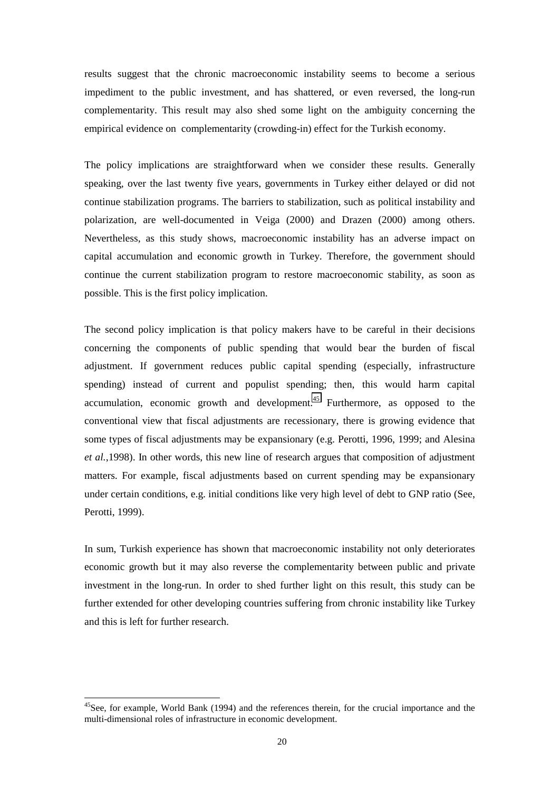results suggest that the chronic macroeconomic instability seems to become a serious impediment to the public investment, and has shattered, or even reversed, the long-run complementarity. This result may also shed some light on the ambiguity concerning the empirical evidence on complementarity (crowding-in) effect for the Turkish economy.

The policy implications are straightforward when we consider these results. Generally speaking, over the last twenty five years, governments in Turkey either delayed or did not continue stabilization programs. The barriers to stabilization, such as political instability and polarization, are well-documented in Veiga (2000) and Drazen (2000) among others. Nevertheless, as this study shows, macroeconomic instability has an adverse impact on capital accumulation and economic growth in Turkey. Therefore, the government should continue the current stabilization program to restore macroeconomic stability, as soon as possible. This is the first policy implication.

The second policy implication is that policy makers have to be careful in their decisions concerning the components of public spending that would bear the burden of fiscal adjustment. If government reduces public capital spending (especially, infrastructure spending) instead of current and populist spending; then, this would harm capital accumulation, economic growth and development. $45$  Furthermore, as opposed to the conventional view that fiscal adjustments are recessionary, there is growing evidence that some types of fiscal adjustments may be expansionary (e.g. Perotti, 1996, 1999; and Alesina *et al.*,1998). In other words, this new line of research argues that composition of adjustment matters. For example, fiscal adjustments based on current spending may be expansionary under certain conditions, e.g. initial conditions like very high level of debt to GNP ratio (See, Perotti, 1999).

In sum, Turkish experience has shown that macroeconomic instability not only deteriorates economic growth but it may also reverse the complementarity between public and private investment in the long-run. In order to shed further light on this result, this study can be further extended for other developing countries suffering from chronic instability like Turkey and this is left for further research.

<sup>&</sup>lt;sup>45</sup>See, for example, World Bank (1994) and the references therein, for the crucial importance and the multi-dimensional roles of infrastructure in economic development.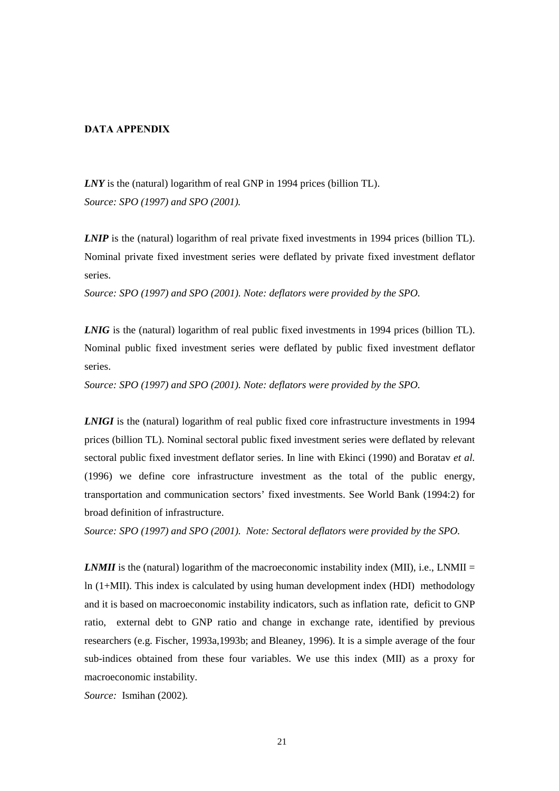## **DATA APPENDIX**

*LNY* is the (natural) logarithm of real GNP in 1994 prices (billion TL). *Source: SPO (1997) and SPO (2001).*

*LNIP* is the (natural) logarithm of real private fixed investments in 1994 prices (billion TL). Nominal private fixed investment series were deflated by private fixed investment deflator series.

*Source: SPO (1997) and SPO (2001). Note: deflators were provided by the SPO.*

*LNIG* is the (natural) logarithm of real public fixed investments in 1994 prices (billion TL). Nominal public fixed investment series were deflated by public fixed investment deflator series.

*Source: SPO (1997) and SPO (2001). Note: deflators were provided by the SPO.*

*LNIGI* is the (natural) logarithm of real public fixed core infrastructure investments in 1994 prices (billion TL). Nominal sectoral public fixed investment series were deflated by relevant sectoral public fixed investment deflator series. In line with Ekinci (1990) and Boratav *et al.* (1996) we define core infrastructure investment as the total of the public energy, transportation and communication sectors' fixed investments. See World Bank (1994:2) for broad definition of infrastructure.

*Source: SPO (1997) and SPO (2001). Note: Sectoral deflators were provided by the SPO.*

*LNMII* is the (natural) logarithm of the macroeconomic instability index (MII), i.e., LNMII = ln (1+MII). This index is calculated by using human development index (HDI) methodology and it is based on macroeconomic instability indicators, such as inflation rate, deficit to GNP ratio, external debt to GNP ratio and change in exchange rate, identified by previous researchers (e.g. Fischer, 1993a,1993b; and Bleaney, 1996). It is a simple average of the four sub-indices obtained from these four variables. We use this index (MII) as a proxy for macroeconomic instability.

*Source:* Ismihan (2002)*.*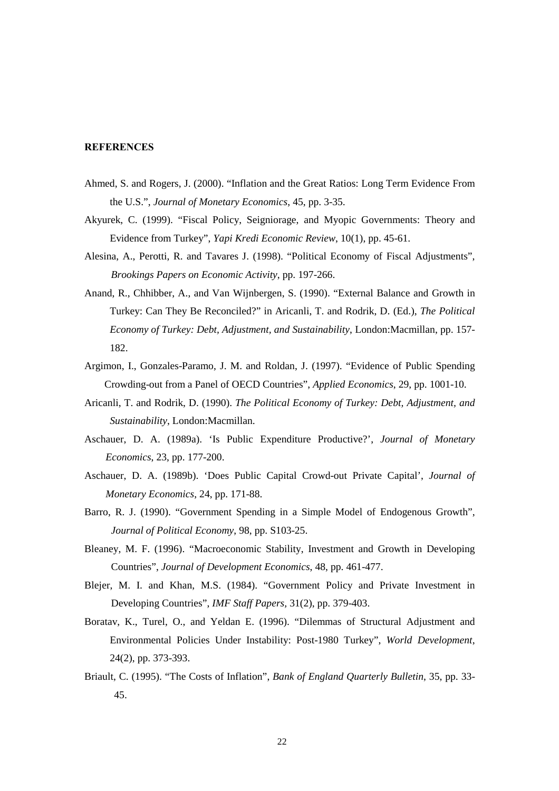#### **REFERENCES**

- Ahmed, S. and Rogers, J. (2000). "Inflation and the Great Ratios: Long Term Evidence From the U.S.", *Journal of Monetary Economics*, 45, pp. 3-35.
- Akyurek, C. (1999). "Fiscal Policy, Seigniorage, and Myopic Governments: Theory and Evidence from Turkey", *Yapi Kredi Economic Review*, 10(1), pp. 45-61.
- Alesina, A., Perotti, R. and Tavares J. (1998). "Political Economy of Fiscal Adjustments", *Brookings Papers on Economic Activity*, pp. 197-266.
- Anand, R., Chhibber, A., and Van Wijnbergen, S. (1990). "External Balance and Growth in Turkey: Can They Be Reconciled?" in Aricanli, T. and Rodrik, D. (Ed.), *The Political Economy of Turkey: Debt, Adjustment, and Sustainability*, London:Macmillan, pp. 157- 182.
- Argimon, I., Gonzales-Paramo, J. M. and Roldan, J. (1997). "Evidence of Public Spending Crowding-out from a Panel of OECD Countries", *Applied Economics*, 29, pp. 1001-10.
- Aricanli, T. and Rodrik, D. (1990). *The Political Economy of Turkey: Debt, Adjustment, and Sustainability*, London:Macmillan.
- Aschauer, D. A. (1989a). 'Is Public Expenditure Productive?', *Journal of Monetary Economics*, 23, pp. 177-200.
- Aschauer, D. A. (1989b). 'Does Public Capital Crowd-out Private Capital', *Journal of Monetary Economics*, 24, pp. 171-88.
- Barro, R. J. (1990). "Government Spending in a Simple Model of Endogenous Growth", *Journal of Political Economy*, 98, pp. S103-25.
- Bleaney, M. F. (1996). "Macroeconomic Stability, Investment and Growth in Developing Countries", *Journal of Development Economics*, 48, pp. 461-477.
- Blejer, M. I. and Khan, M.S. (1984). "Government Policy and Private Investment in Developing Countries", *IMF Staff Papers,* 31(2), pp. 379-403.
- Boratav, K., Turel, O., and Yeldan E. (1996). "Dilemmas of Structural Adjustment and Environmental Policies Under Instability: Post-1980 Turkey", *World Development*, 24(2), pp. 373-393.
- Briault, C. (1995). "The Costs of Inflation", *Bank of England Quarterly Bulletin*, 35, pp. 33- 45.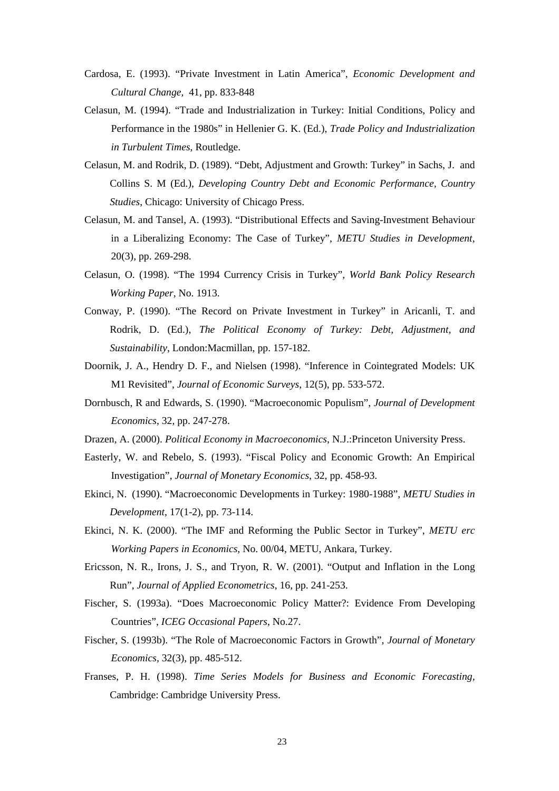- Cardosa, E. (1993). "Private Investment in Latin America", *Economic Development and Cultural Change,* 41, pp. 833-848
- Celasun, M. (1994). "Trade and Industrialization in Turkey: Initial Conditions, Policy and Performance in the 1980s" in Hellenier G. K. (Ed.), *Trade Policy and Industrialization in Turbulent Times*, Routledge.
- Celasun, M. and Rodrik, D. (1989). "Debt, Adjustment and Growth: Turkey" in Sachs, J. and Collins S. M (Ed.), *Developing Country Debt and Economic Performance, Country Studies*, Chicago: University of Chicago Press.
- Celasun, M. and Tansel, A. (1993). "Distributional Effects and Saving-Investment Behaviour in a Liberalizing Economy: The Case of Turkey", *METU Studies in Development*, 20(3), pp. 269-298.
- Celasun, O. (1998). "The 1994 Currency Crisis in Turkey", *World Bank Policy Research Working Paper,* No. 1913.
- Conway, P. (1990). "The Record on Private Investment in Turkey" in Aricanli, T. and Rodrik, D. (Ed.), *The Political Economy of Turkey: Debt, Adjustment, and Sustainability*, London:Macmillan, pp. 157-182.
- Doornik, J. A., Hendry D. F., and Nielsen (1998). "Inference in Cointegrated Models: UK M1 Revisited", *Journal of Economic Surveys*, 12(5), pp. 533-572.
- Dornbusch, R and Edwards, S. (1990). "Macroeconomic Populism", *Journal of Development Economics*, 32, pp. 247-278.
- Drazen, A. (2000). *Political Economy in Macroeconomics*, N.J.:Princeton University Press.
- Easterly, W. and Rebelo, S. (1993). "Fiscal Policy and Economic Growth: An Empirical Investigation", *Journal of Monetary Economics*, 32, pp. 458-93.
- Ekinci, N. (1990). "Macroeconomic Developments in Turkey: 1980-1988", *METU Studies in Development*, 17(1-2), pp. 73-114.
- Ekinci, N. K. (2000). "The IMF and Reforming the Public Sector in Turkey", *METU erc Working Papers in Economics*, No. 00/04, METU, Ankara, Turkey.
- Ericsson, N. R., Irons, J. S., and Tryon, R. W. (2001). "Output and Inflation in the Long Run", *Journal of Applied Econometrics*, 16, pp. 241-253.
- Fischer, S. (1993a). "Does Macroeconomic Policy Matter?: Evidence From Developing Countries", *ICEG Occasional Papers*, No.27.
- Fischer, S. (1993b). "The Role of Macroeconomic Factors in Growth", *Journal of Monetary Economics*, 32(3), pp. 485-512.
- Franses, P. H. (1998). *Time Series Models for Business and Economic Forecasting,* Cambridge: Cambridge University Press.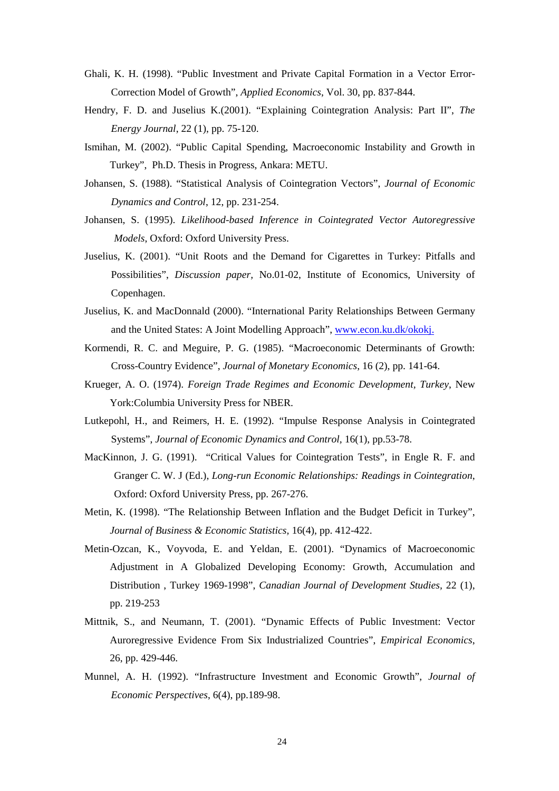- Ghali, K. H. (1998). "Public Investment and Private Capital Formation in a Vector Error-Correction Model of Growth", *Applied Economics*, Vol. 30, pp. 837-844.
- Hendry, F. D. and Juselius K.(2001). "Explaining Cointegration Analysis: Part II", *The Energy Journal*, 22 (1), pp. 75-120.
- Ismihan, M. (2002). "Public Capital Spending, Macroeconomic Instability and Growth in Turkey", Ph.D. Thesis in Progress, Ankara: METU.
- Johansen, S. (1988). "Statistical Analysis of Cointegration Vectors", *Journal of Economic Dynamics and Control*, 12, pp. 231-254.
- Johansen, S. (1995). *Likelihood-based Inference in Cointegrated Vector Autoregressive Models*, Oxford: Oxford University Press.
- Juselius, K. (2001). "Unit Roots and the Demand for Cigarettes in Turkey: Pitfalls and Possibilities", *Discussion paper,* No.01-02, Institute of Economics, University of Copenhagen.
- Juselius, K. and MacDonnald (2000). "International Parity Relationships Between Germany and the United States: A Joint Modelling Approach", www.econ.ku.dk/okokj.
- Kormendi, R. C. and Meguire, P. G. (1985). "Macroeconomic Determinants of Growth: Cross-Country Evidence", *Journal of Monetary Economics*, 16 (2), pp. 141-64.
- Krueger, A. O. (1974). *Foreign Trade Regimes and Economic Development, Turkey*, New York:Columbia University Press for NBER.
- Lutkepohl, H., and Reimers, H. E. (1992). "Impulse Response Analysis in Cointegrated Systems", *Journal of Economic Dynamics and Control,* 16(1), pp.53-78.
- MacKinnon, J. G. (1991). "Critical Values for Cointegration Tests", in Engle R. F. and Granger C. W. J (Ed.), *Long-run Economic Relationships: Readings in Cointegration*, Oxford: Oxford University Press, pp. 267-276.
- Metin, K. (1998). "The Relationship Between Inflation and the Budget Deficit in Turkey", *Journal of Business & Economic Statistics,* 16(4), pp. 412-422.
- Metin-Ozcan, K., Voyvoda, E. and Yeldan, E. (2001). "Dynamics of Macroeconomic Adjustment in A Globalized Developing Economy: Growth, Accumulation and Distribution , Turkey 1969-1998", *Canadian Journal of Development Studies,* 22 (1), pp. 219-253
- Mittnik, S., and Neumann, T. (2001). "Dynamic Effects of Public Investment: Vector Auroregressive Evidence From Six Industrialized Countries", *Empirical Economics*, 26, pp. 429-446.
- Munnel, A. H. (1992). "Infrastructure Investment and Economic Growth", *Journal of Economic Perspectives*, 6(4), pp.189-98.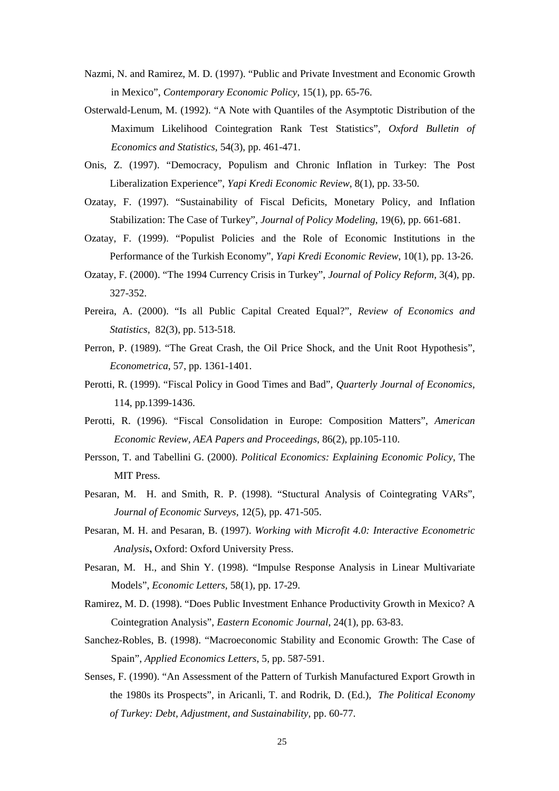- Nazmi, N. and Ramirez, M. D. (1997). "Public and Private Investment and Economic Growth in Mexico", *Contemporary Economic Policy*, 15(1), pp. 65-76.
- Osterwald-Lenum, M. (1992). "A Note with Quantiles of the Asymptotic Distribution of the Maximum Likelihood Cointegration Rank Test Statistics", *Oxford Bulletin of Economics and Statistics,* 54(3), pp. 461-471.
- Onis, Z. (1997). "Democracy, Populism and Chronic Inflation in Turkey: The Post Liberalization Experience", *Yapi Kredi Economic Review*, 8(1), pp. 33-50.
- Ozatay, F. (1997). "Sustainability of Fiscal Deficits, Monetary Policy, and Inflation Stabilization: The Case of Turkey", *Journal of Policy Modeling*, 19(6), pp. 661-681.
- Ozatay, F. (1999). "Populist Policies and the Role of Economic Institutions in the Performance of the Turkish Economy", *Yapi Kredi Economic Review*, 10(1), pp. 13-26.
- Ozatay, F. (2000). "The 1994 Currency Crisis in Turkey", *Journal of Policy Reform,* 3(4), pp. 327-352.
- Pereira, A. (2000). "Is all Public Capital Created Equal?", *Review of Economics and Statistics,* 82(3), pp. 513-518.
- Perron, P. (1989). "The Great Crash, the Oil Price Shock, and the Unit Root Hypothesis", *Econometrica*, 57, pp. 1361-1401.
- Perotti, R. (1999). "Fiscal Policy in Good Times and Bad", *Quarterly Journal of Economics,* 114, pp.1399-1436.
- Perotti, R. (1996). "Fiscal Consolidation in Europe: Composition Matters", *American Economic Review, AEA Papers and Proceedings*, 86(2), pp.105-110.
- Persson, T. and Tabellini G. (2000). *Political Economics: Explaining Economic Policy*, The MIT Press.
- Pesaran, M. H. and Smith, R. P. (1998). "Stuctural Analysis of Cointegrating VARs", *Journal of Economic Surveys,* 12(5), pp. 471-505.
- Pesaran, M. H. and Pesaran, B. (1997). *Working with Microfit 4.0: Interactive Econometric Analysis***,** Oxford: Oxford University Press.
- Pesaran, M. H., and Shin Y. (1998). "Impulse Response Analysis in Linear Multivariate Models", *Economic Letters,* 58(1), pp. 17-29.
- Ramirez, M. D. (1998). "Does Public Investment Enhance Productivity Growth in Mexico? A Cointegration Analysis", *Eastern Economic Journal*, 24(1), pp. 63-83.
- Sanchez-Robles, B. (1998). "Macroeconomic Stability and Economic Growth: The Case of Spain", *Applied Economics Letters*, 5, pp. 587-591.
- Senses, F. (1990). "An Assessment of the Pattern of Turkish Manufactured Export Growth in the 1980s its Prospects", in Aricanli, T. and Rodrik, D. (Ed.), *The Political Economy of Turkey: Debt, Adjustment, and Sustainability,* pp. 60-77.